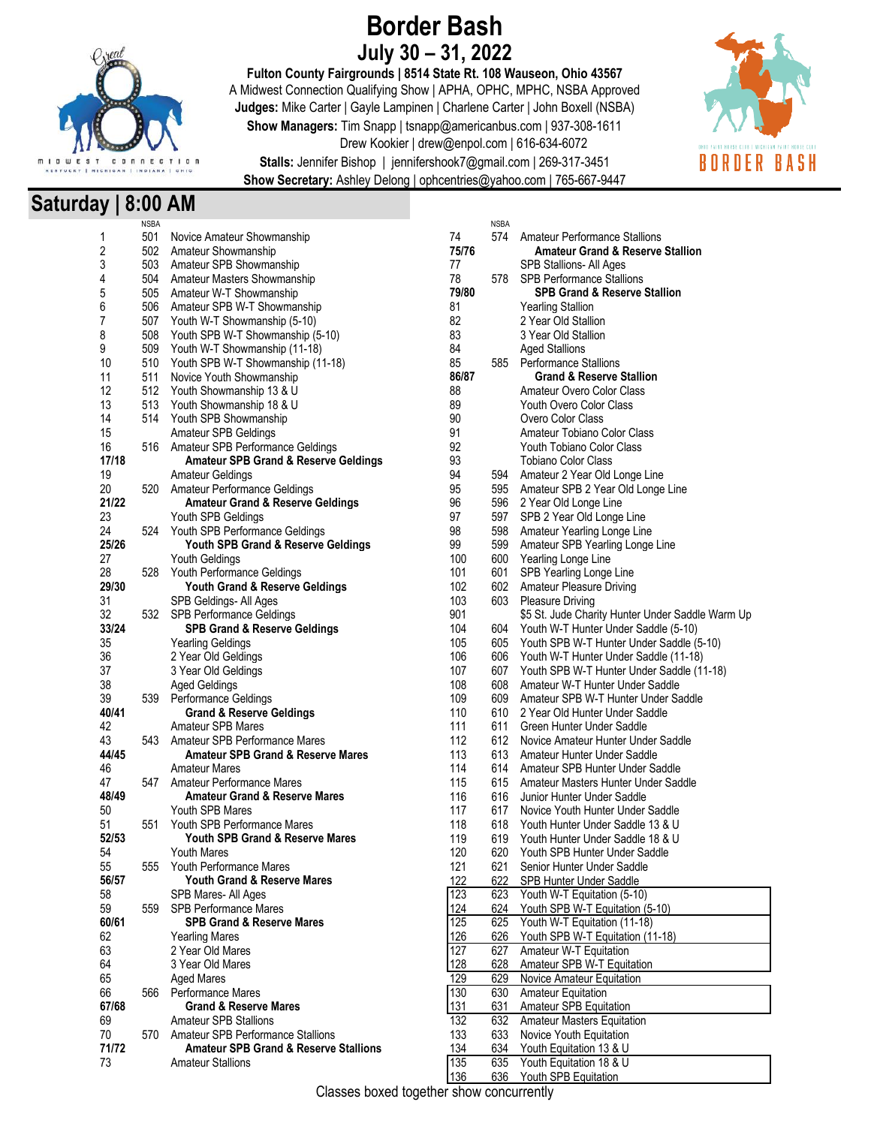

# **Border Bash July 30 – 31, 2022**

**Fulton County Fairgrounds | 8514 State Rt. 108 Wauseon, Ohio 43567** A Midwest Connection Qualifying Show | APHA, OPHC, MPHC, NSBA Approved **Judges:** Mike Carter | Gayle Lampinen | Charlene Carter | John Boxell (NSBA) **Show Managers:** Tim Snapp | tsnapp@americanbus.com | 937-308-1611 Drew Kookier | drew@enpol.com | 616-634-6072



**Stalls:** Jennifer Bishop | jennifershook7@gmail.com | 269-317-3451 **Show Secretary:** Ashley Delong | ophcentries@yahoo.com | 765-667-9447

# **Saturday | 8:00 AM**

|       | <b>NSBA</b> |                                                  |     |       | <b>NSBA</b> |                                                  |
|-------|-------------|--------------------------------------------------|-----|-------|-------------|--------------------------------------------------|
| 1     | 501         | Novice Amateur Showmanship                       | 74  |       | 574         | Amateur Performance Stallions                    |
| 2     |             | 502 Amateur Showmanship                          |     | 75/76 |             | <b>Amateur Grand &amp; Reserve Stallion</b>      |
| 3     |             | 503 Amateur SPB Showmanship                      | 77  |       |             | SPB Stallions- All Ages                          |
| 4     | 504         | Amateur Masters Showmanship                      | 78  |       | 578         | <b>SPB Performance Stallions</b>                 |
| 5     |             | 505 Amateur W-T Showmanship                      |     | 79/80 |             | <b>SPB Grand &amp; Reserve Stallion</b>          |
| 6     |             | 506 Amateur SPB W-T Showmanship                  | 81  |       |             | <b>Yearling Stallion</b>                         |
| 7     |             | 507 Youth W-T Showmanship (5-10)                 | 82  |       |             | 2 Year Old Stallion                              |
| 8     |             |                                                  | 83  |       |             | 3 Year Old Stallion                              |
|       | 508         | Youth SPB W-T Showmanship (5-10)                 |     |       |             |                                                  |
| 9     |             | 509 Youth W-T Showmanship (11-18)                | 84  |       |             | <b>Aged Stallions</b>                            |
| 10    |             | 510 Youth SPB W-T Showmanship (11-18)            | 85  |       | 585         | <b>Performance Stallions</b>                     |
| 11    | 511         | Novice Youth Showmanship                         |     | 86/87 |             | <b>Grand &amp; Reserve Stallion</b>              |
| 12    | 512         | Youth Showmanship 13 & U                         | 88  |       |             | Amateur Overo Color Class                        |
| 13    | 513         | Youth Showmanship 18 & U                         | 89  |       |             | Youth Overo Color Class                          |
| 14    | 514         | Youth SPB Showmanship                            | 90  |       |             | Overo Color Class                                |
| 15    |             | <b>Amateur SPB Geldings</b>                      | 91  |       |             | Amateur Tobiano Color Class                      |
| 16    |             | 516 Amateur SPB Performance Geldings             | 92  |       |             | Youth Tobiano Color Class                        |
| 17/18 |             | <b>Amateur SPB Grand &amp; Reserve Geldings</b>  | 93  |       |             | <b>Tobiano Color Class</b>                       |
| 19    |             | <b>Amateur Geldings</b>                          | 94  |       | 594         | Amateur 2 Year Old Longe Line                    |
| 20    |             | 520 Amateur Performance Geldings                 | 95  |       |             | 595 Amateur SPB 2 Year Old Longe Line            |
| 21/22 |             | <b>Amateur Grand &amp; Reserve Geldings</b>      | 96  |       |             | 596 2 Year Old Longe Line                        |
| 23    |             | Youth SPB Geldings                               | 97  |       | 597         | SPB 2 Year Old Longe Line                        |
| 24    | 524         | Youth SPB Performance Geldings                   | 98  |       |             | 598 Amateur Yearling Longe Line                  |
| 25/26 |             | Youth SPB Grand & Reserve Geldings               | 99  |       | 599         | Amateur SPB Yearling Longe Line                  |
| 27    |             | Youth Geldings                                   | 100 |       | 600         | Yearling Longe Line                              |
| 28    | 528         | Youth Performance Geldings                       | 101 |       | 601         | SPB Yearling Longe Line                          |
| 29/30 |             | Youth Grand & Reserve Geldings                   | 102 |       |             | 602 Amateur Pleasure Driving                     |
| 31    |             | SPB Geldings- All Ages                           | 103 |       | 603         | <b>Pleasure Driving</b>                          |
| 32    | 532         | <b>SPB Performance Geldings</b>                  | 901 |       |             | \$5 St. Jude Charity Hunter Under Saddle Warm Up |
| 33/24 |             | <b>SPB Grand &amp; Reserve Geldings</b>          | 104 |       | 604         | Youth W-T Hunter Under Saddle (5-10)             |
| 35    |             | <b>Yearling Geldings</b>                         | 105 |       | 605         | Youth SPB W-T Hunter Under Saddle (5-10)         |
| 36    |             | 2 Year Old Geldings                              | 106 |       | 606         | Youth W-T Hunter Under Saddle (11-18)            |
| 37    |             | 3 Year Old Geldings                              | 107 |       | 607         | Youth SPB W-T Hunter Under Saddle (11-18)        |
| 38    |             | <b>Aged Geldings</b>                             | 108 |       | 608         | Amateur W-T Hunter Under Saddle                  |
| 39    |             | 539 Performance Geldings                         | 109 |       | 609         | Amateur SPB W-T Hunter Under Saddle              |
| 40/41 |             | <b>Grand &amp; Reserve Geldings</b>              | 110 |       | 610         | 2 Year Old Hunter Under Saddle                   |
| 42    |             | <b>Amateur SPB Mares</b>                         | 111 |       | 611         | Green Hunter Under Saddle                        |
| 43    | 543         | Amateur SPB Performance Mares                    | 112 |       | 612         | Novice Amateur Hunter Under Saddle               |
| 44/45 |             | <b>Amateur SPB Grand &amp; Reserve Mares</b>     | 113 |       | 613         | Amateur Hunter Under Saddle                      |
|       |             | <b>Amateur Mares</b>                             | 114 |       | 614         | Amateur SPB Hunter Under Saddle                  |
| 46    | 547         | Amateur Performance Mares                        | 115 |       | 615         | Amateur Masters Hunter Under Saddle              |
| 47    |             |                                                  |     |       |             |                                                  |
| 48/49 |             | <b>Amateur Grand &amp; Reserve Mares</b>         | 116 |       | 616         | Junior Hunter Under Saddle                       |
| 50    |             | Youth SPB Mares                                  | 117 |       | 617         | Novice Youth Hunter Under Saddle                 |
| 51    | 551         | Youth SPB Performance Mares                      | 118 |       | 618         | Youth Hunter Under Saddle 13 & U                 |
| 52/53 |             | Youth SPB Grand & Reserve Mares                  | 119 |       | 619         | Youth Hunter Under Saddle 18 & U                 |
| 54    |             | <b>Youth Mares</b>                               | 120 |       |             | 620 Youth SPB Hunter Under Saddle                |
| 55    | 555         | Youth Performance Mares                          | 121 |       | 621         | Senior Hunter Under Saddle                       |
| 56/57 |             | Youth Grand & Reserve Mares                      | 122 |       | 622         | <b>SPB Hunter Under Saddle</b>                   |
| 58    |             | SPB Mares- All Ages                              | 123 |       | 623         | Youth W-T Equitation (5-10)                      |
| 59    | 559         | <b>SPB Performance Mares</b>                     | 124 |       | 624         | Youth SPB W-T Equitation (5-10)                  |
| 60/61 |             | <b>SPB Grand &amp; Reserve Mares</b>             | 125 |       | 625         | Youth W-T Equitation (11-18)                     |
| 62    |             | <b>Yearling Mares</b>                            | 126 |       | 626         | Youth SPB W-T Equitation (11-18)                 |
| 63    |             | 2 Year Old Mares                                 | 127 |       | 627         | Amateur W-T Equitation                           |
| 64    |             | 3 Year Old Mares                                 | 128 |       | 628         | Amateur SPB W-T Equitation                       |
| 65    |             | Aged Mares                                       | 129 |       | 629         | Novice Amateur Equitation                        |
| 66    | 566         | Performance Mares                                | 130 |       | 630         | <b>Amateur Equitation</b>                        |
| 67/68 |             | <b>Grand &amp; Reserve Mares</b>                 | 131 |       | 631         | Amateur SPB Equitation                           |
| 69    |             | <b>Amateur SPB Stallions</b>                     | 132 |       | 632         | <b>Amateur Masters Equitation</b>                |
| 70    | 570         | Amateur SPB Performance Stallions                | 133 |       | 633         | Novice Youth Equitation                          |
| 71/72 |             | <b>Amateur SPB Grand &amp; Reserve Stallions</b> | 134 |       | 634         | Youth Equitation 13 & U                          |
| 73    |             | <b>Amateur Stallions</b>                         | 135 |       | 635         | Youth Equitation 18 & U                          |

|                  | <b>NSBA</b> |                                                                        |
|------------------|-------------|------------------------------------------------------------------------|
| 74               | 574         | Amateur Performance Stallions                                          |
| 5/76             |             | Amateur Grand & Reserve Stallion                                       |
| 77               |             | SPB Stallions- All Ages                                                |
| 78               | 578         | <b>SPB Performance Stallions</b>                                       |
| 79/80            |             | <b>SPB Grand &amp; Reserve Stallion</b>                                |
| 31               |             | <b>Yearling Stallion</b>                                               |
| 32               |             | 2 Year Old Stallion                                                    |
| 33               |             | 3 Year Old Stallion                                                    |
| 34               |             | <b>Aged Stallions</b>                                                  |
| 35               | 585         | <b>Performance Stallions</b>                                           |
| 36/87            |             | <b>Grand &amp; Reserve Stallion</b>                                    |
| 38               |             | Amateur Overo Color Class                                              |
| 39               |             | Youth Overo Color Class                                                |
| 90<br>91         |             | Overo Color Class<br>Amateur Tobiano Color Class                       |
| 32               |             | Youth Tobiano Color Class                                              |
| 93               |             | <b>Tobiano Color Class</b>                                             |
| 34               | 594         | Amateur 2 Year Old Longe Line                                          |
| 95               | 595         | Amateur SPB 2 Year Old Longe Line                                      |
| 96               | 596         | 2 Year Old Longe Line                                                  |
| 97               | 597         | SPB 2 Year Old Longe Line                                              |
| 98               | 598         | Amateur Yearling Longe Line                                            |
| 99               | 599         | Amateur SPB Yearling Longe Line                                        |
| 100              | 600         | Yearling Longe Line                                                    |
| 101              | 601         | SPB Yearling Longe Line                                                |
| 102              | 602         | <b>Amateur Pleasure Driving</b>                                        |
| 103              | 603         | <b>Pleasure Driving</b>                                                |
| 901              |             | \$5 St. Jude Charity Hunter Under Saddle Warm Up                       |
| 104              | 604         | Youth W-T Hunter Under Saddle (5-10)                                   |
| 105              | 605         | Youth SPB W-T Hunter Under Saddle (5-10)                               |
| 106              | 606         | Youth W-T Hunter Under Saddle (11-18)                                  |
| 107              | 607         | Youth SPB W-T Hunter Under Saddle (11-18)                              |
| 108              | 608         | Amateur W-T Hunter Under Saddle                                        |
| 109              | 609         | Amateur SPB W-T Hunter Under Saddle                                    |
| 110              | 610         | 2 Year Old Hunter Under Saddle                                         |
| 111              | 611         | Green Hunter Under Saddle                                              |
| 112              | 612         | Novice Amateur Hunter Under Saddle                                     |
| 113              | 613         | Amateur Hunter Under Saddle                                            |
| 114<br>115       | 614<br>615  | Amateur SPB Hunter Under Saddle<br>Amateur Masters Hunter Under Saddle |
| 116              | 616         | Junior Hunter Under Saddle                                             |
| 117              | 617         | Novice Youth Hunter Under Saddle                                       |
| 118              | 618         | Youth Hunter Under Saddle 13 & U                                       |
| 119              | 619         | Youth Hunter Under Saddle 18 & U                                       |
| 120              | 620         | Youth SPB Hunter Under Saddle                                          |
| 121              | 621         | Senior Hunter Under Saddle                                             |
| 122              | 622         | SPB Hunter Under Saddle                                                |
| 123              | 623         | Youth W-T Equitation (5-10)                                            |
| 124              | 624         | Youth SPB W-T Equitation (5-10)                                        |
| $\overline{125}$ | 625         | Youth W-T Equitation (11-18)                                           |
| <u>126</u>       | 626         | Youth SPB W-T Equitation (11-18)                                       |
| $\overline{27}$  | 627         | Amateur W-T Equitation                                                 |
| 128              | 628         | <b>Amateur SPB W-T Equitation</b>                                      |
| <u>129</u>       | 629         | <b>Novice Amateur Equitation</b>                                       |
| 130              | 630         | <b>Amateur Equitation</b>                                              |
| 131              | 631         | Amateur SPB Equitation                                                 |
| 132              | 632         | <b>Amateur Masters Equitation</b>                                      |
| 133              | 633         | Novice Youth Equitation                                                |
| 134              | 634         | Youth Equitation 13 & U                                                |
| $\overline{135}$ | 635         | Youth Foultation 18 & U                                                |

 636 Youth SPB Equitation Classes boxed together show concurrently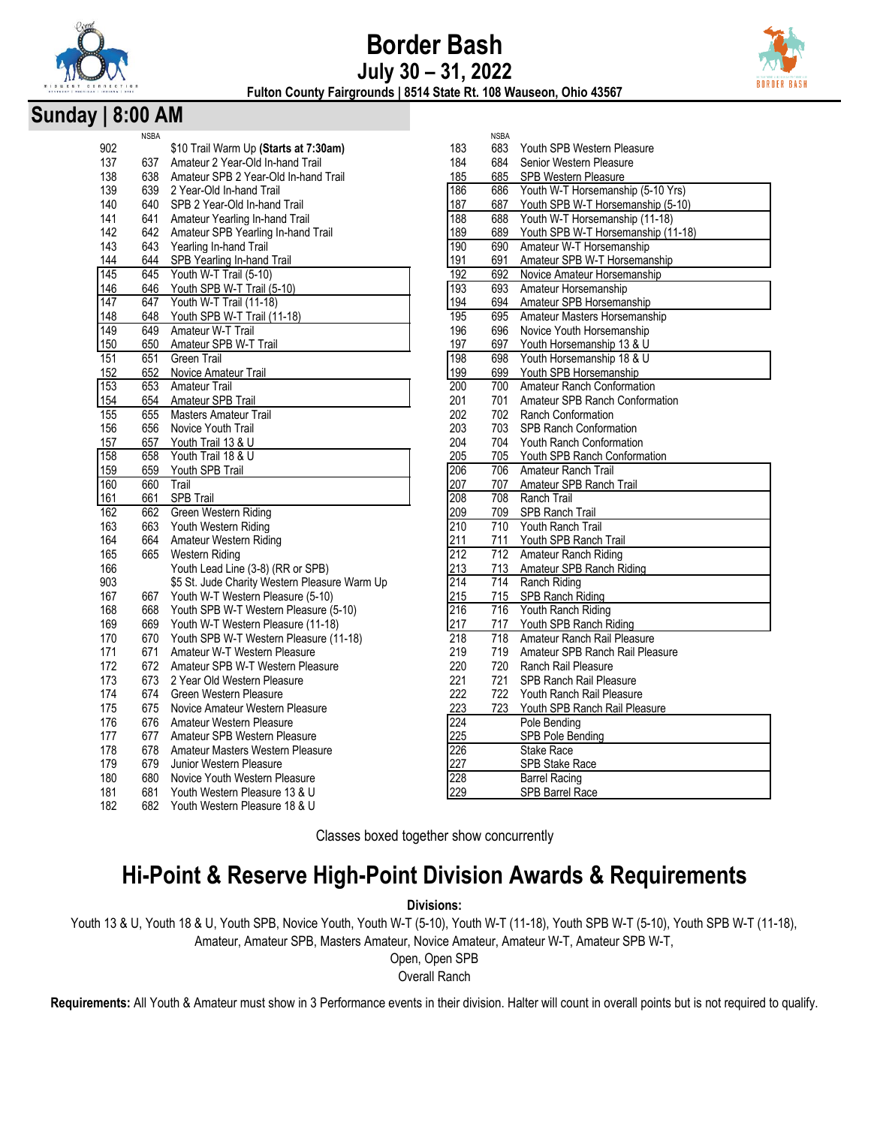

# **Border Bash July 30 – 31, 2022**



**Fulton County Fairgrounds | 8514 State Rt. 108 Wauseon, Ohio 43567**

### **Sunday | 8:00 AM**

|     | <b>NSBA</b> |                                               |                  | <b>NSBA</b> |                                    |
|-----|-------------|-----------------------------------------------|------------------|-------------|------------------------------------|
| 902 |             | \$10 Trail Warm Up (Starts at 7:30am)         | 183              | 683         | Youth SPB Western Pleasure         |
| 137 | 637         | Amateur 2 Year-Old In-hand Trail              | 184              | 684         | Senior Western Pleasure            |
| 138 | 638         | Amateur SPB 2 Year-Old In-hand Trail          | 185              | 685         | <b>SPB Western Pleasure</b>        |
| 139 | 639         | 2 Year-Old In-hand Trail                      | 186              | 686         | Youth W-T Horsemanship (5-10 Yrs)  |
| 140 | 640         | SPB 2 Year-Old In-hand Trail                  | 187              | 687         | Youth SPB W-T Horsemanship (5-10)  |
| 141 | 641         | Amateur Yearling In-hand Trail                | 188              | 688         | Youth W-T Horsemanship (11-18)     |
| 142 | 642         | Amateur SPB Yearling In-hand Trail            | 189              | 689         | Youth SPB W-T Horsemanship (11-18) |
| 143 | 643         | Yearling In-hand Trail                        | 190              | 690         | Amateur W-T Horsemanship           |
| 144 | 644         | SPB Yearling In-hand Trail                    | 191              | 691         | Amateur SPB W-T Horsemanship       |
| 145 | 645         | Youth W-T Trail (5-10)                        | 192              | 692         | Novice Amateur Horsemanship        |
| 146 | 646         | Youth SPB W-T Trail (5-10)                    | 193              | 693         | Amateur Horsemanship               |
| 147 | 647         | Youth W-T Trail (11-18)                       | 194              | 694         | Amateur SPB Horsemanship           |
| 148 | 648         | Youth SPB W-T Trail (11-18)                   | 195              | 695         | Amateur Masters Horsemanship       |
| 149 | 649         | Amateur W-T Trail                             | 196              | 696         | Novice Youth Horsemanship          |
| 150 | 650         | Amateur SPB W-T Trail                         | 197              | 697         | Youth Horsemanship 13 & U          |
| 151 | 651         | Green Trail                                   | 198              | 698         | Youth Horsemanship 18 & U          |
| 152 | 652         | Novice Amateur Trail                          | 199              | 699         | Youth SPB Horsemanship             |
| 153 | 653         | <b>Amateur Trail</b>                          | 200              | 700         | <b>Amateur Ranch Conformation</b>  |
| 154 | 654         | Amateur SPB Trail                             | 201              | 701         | Amateur SPB Ranch Conformation     |
| 155 | 655         | <b>Masters Amateur Trail</b>                  | 202              | 702         | Ranch Conformation                 |
| 156 | 656         | Novice Youth Trail                            | 203              | 703         | <b>SPB Ranch Conformation</b>      |
| 157 | 657         | Youth Trail 13 & U                            | 204              | 704         | Youth Ranch Conformation           |
| 158 | 658         | Youth Trail 18 & U                            | 205              | 705         | Youth SPB Ranch Conformation       |
| 159 | 659         | Youth SPB Trail                               | 206              | 706         | Amateur Ranch Trail                |
| 160 | 660         | Trail                                         | 207              | 707         | Amateur SPB Ranch Trail            |
| 161 | 661         | <b>SPB Trail</b>                              | 208              | 708         | Ranch Trail                        |
| 162 | 662         | Green Western Riding                          | 209              | 709         | SPB Ranch Trail                    |
| 163 | 663         | Youth Western Riding                          | 210              | 710         | Youth Ranch Trail                  |
| 164 | 664         | Amateur Western Riding                        | 211              | 711         | Youth SPB Ranch Trail              |
| 165 | 665         | Western Riding                                | 212              | 712         | Amateur Ranch Riding               |
| 166 |             | Youth Lead Line (3-8) (RR or SPB)             | 213              | 713         | Amateur SPB Ranch Riding           |
| 903 |             | \$5 St. Jude Charity Western Pleasure Warm Up | 214              | 714         | Ranch Riding                       |
| 167 | 667         | Youth W-T Western Pleasure (5-10)             | 215              | 715         | SPB Ranch Riding                   |
| 168 | 668         | Youth SPB W-T Western Pleasure (5-10)         | $\overline{216}$ | 716         | Youth Ranch Riding                 |
| 169 | 669         | Youth W-T Western Pleasure (11-18)            | 217              | 717         | Youth SPB Ranch Riding             |
| 170 | 670         | Youth SPB W-T Western Pleasure (11-18)        | $\overline{218}$ | 718         | Amateur Ranch Rail Pleasure        |
| 171 | 671         | Amateur W-T Western Pleasure                  | 219              | 719         | Amateur SPB Ranch Rail Pleasure    |
| 172 | 672         | Amateur SPB W-T Western Pleasure              | 220              | 720         | Ranch Rail Pleasure                |
| 173 | 673         | 2 Year Old Western Pleasure                   | 221              | 721         | <b>SPB Ranch Rail Pleasure</b>     |
| 174 | 674         | Green Western Pleasure                        | 222              | 722         | Youth Ranch Rail Pleasure          |
| 175 | 675         | Novice Amateur Western Pleasure               | 223              | 723         | Youth SPB Ranch Rail Pleasure      |
| 176 | 676         | Amateur Western Pleasure                      | 224              |             | Pole Bending                       |
| 177 | 677         | Amateur SPB Western Pleasure                  | 225              |             | SPB Pole Bending                   |
| 178 | 678         | Amateur Masters Western Pleasure              | 226              |             | Stake Race                         |
| 179 | 679         | Junior Western Pleasure                       | 227              |             | <b>SPB Stake Race</b>              |
| 180 | 680         | Novice Youth Western Pleasure                 | 228              |             | <b>Barrel Racing</b>               |
| 181 | 681         | Youth Western Pleasure 13 & U                 | 229              |             | <b>SPB Barrel Race</b>             |
| 182 | 682         | Youth Western Pleasure 18 & U                 |                  |             |                                    |
|     |             |                                               |                  |             |                                    |
|     |             |                                               |                  |             |                                    |

|                  | רשטוו |                                    |
|------------------|-------|------------------------------------|
| 183              | 683   | Youth SPB Western Pleasure         |
| 184              | 684   | Senior Western Pleasure            |
| 185              | 685   | <b>SPB Western Pleasure</b>        |
| 186              | 686   | Youth W-T Horsemanship (5-10 Yrs)  |
| 187              | 687   | Youth SPB W-T Horsemanship (5-10)  |
| 188              | 688   | Youth W-T Horsemanship (11-18)     |
| 189              | 689   | Youth SPB W-T Horsemanship (11-18) |
| 190              | 690   | Amateur W-T Horsemanship           |
| 191              | 691   | Amateur SPB W-T Horsemanship       |
| 192              | 692   | Novice Amateur Horsemanship        |
| 193              | 693   | Amateur Horsemanship               |
| 194              | 694   | Amateur SPB Horsemanship           |
| 195              | 695   | Amateur Masters Horsemanship       |
| 196              | 696   | Novice Youth Horsemanship          |
| 197              | 697   | Youth Horsemanship 13 & U          |
| 198              | 698   | Youth Horsemanship 18 & U          |
| 199              | 699   | Youth SPB Horsemanship             |
| 200              | 700   | <b>Amateur Ranch Conformation</b>  |
| 201              | 701   | Amateur SPB Ranch Conformation     |
| 202              | 702   | <b>Ranch Conformation</b>          |
| 203              | 703   | <b>SPB Ranch Conformation</b>      |
| 204              | 704   | Youth Ranch Conformation           |
| 205              | 705   | Youth SPB Ranch Conformation       |
| 206              | 706   | Amateur Ranch Trail                |
| 207              | 707   | Amateur SPB Ranch Trail            |
| 208              | 708   | Ranch Trail                        |
| 209              | 709   | <b>SPB Ranch Trail</b>             |
| 210              | 710   | Youth Ranch Trail                  |
| 211              | 711   | Youth SPB Ranch Trail              |
| $\overline{212}$ | 712   | Amateur Ranch Riding               |
| 213              | 713   | Amateur SPB Ranch Riding           |
| 214              | 714   | Ranch Riding                       |
| 215              | 715   | SPB Ranch Riding                   |
| 216              | 716   | Youth Ranch Riding                 |
| 217              | 717   | Youth SPB Ranch Riding             |
| 218              | 718   | Amateur Ranch Rail Pleasure        |
| 219              | 719   | Amateur SPB Ranch Rail Pleasure    |
| 220              | 720   | Ranch Rail Pleasure                |
| 221              | 721   | <b>SPB Ranch Rail Pleasure</b>     |
| 222              | 722   | Youth Ranch Rail Pleasure          |
| 223              | 723   | Youth SPB Ranch Rail Pleasure      |
| 224              |       | Pole Bendina                       |
| 225              |       | SPB Pole Bending                   |
| 226              |       | Stake Race                         |
| 227              |       | SPB Stake Race                     |
| 228              |       | <b>Barrel Racing</b>               |
| າາດ              |       | CDR Rarrol Daco                    |

Classes boxed together show concurrently

# **Hi-Point & Reserve High-Point Division Awards & Requirements**

**Divisions:** 

Youth 13 & U, Youth 18 & U, Youth SPB, Novice Youth, Youth W-T (5-10), Youth W-T (11-18), Youth SPB W-T (5-10), Youth SPB W-T (11-18), Amateur, Amateur SPB, Masters Amateur, Novice Amateur, Amateur W-T, Amateur SPB W-T,

Open, Open SPB

Overall Ranch

**Requirements:** All Youth & Amateur must show in 3 Performance events in their division. Halter will count in overall points but is not required to qualify.